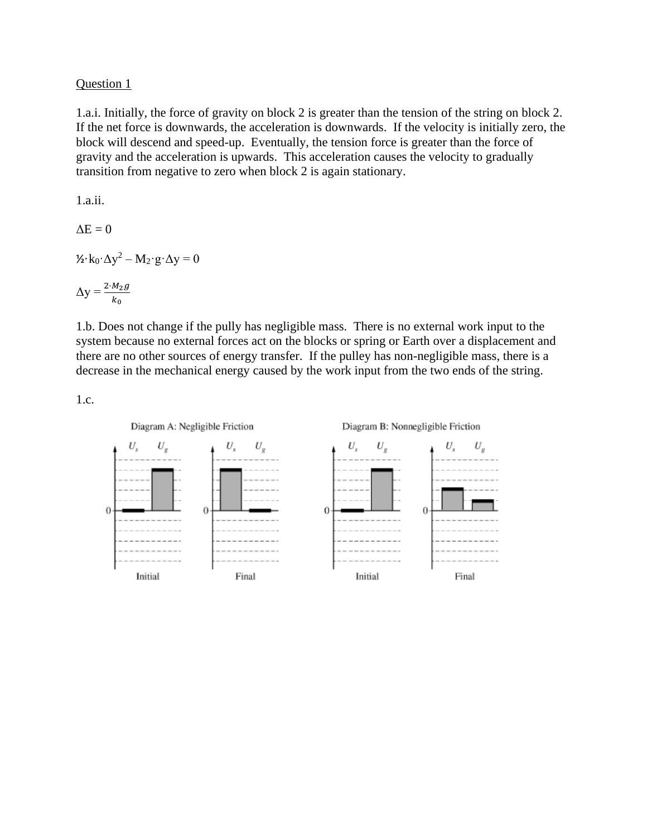## Question 1

1.a.i. Initially, the force of gravity on block 2 is greater than the tension of the string on block 2. If the net force is downwards, the acceleration is downwards. If the velocity is initially zero, the block will descend and speed-up. Eventually, the tension force is greater than the force of gravity and the acceleration is upwards. This acceleration causes the velocity to gradually transition from negative to zero when block 2 is again stationary.

1.a.ii.  $\Delta E = 0$  $\frac{1}{2}$ ·k<sub>0</sub>· $\Delta y^2 - M_2$ ·g· $\Delta y = 0$  $\Delta y = \frac{2 \cdot M_2 g}{k_0}$ 

1.b. Does not change if the pully has negligible mass. There is no external work input to the system because no external forces act on the blocks or spring or Earth over a displacement and there are no other sources of energy transfer. If the pulley has non-negligible mass, there is a decrease in the mechanical energy caused by the work input from the two ends of the string.

1.c.

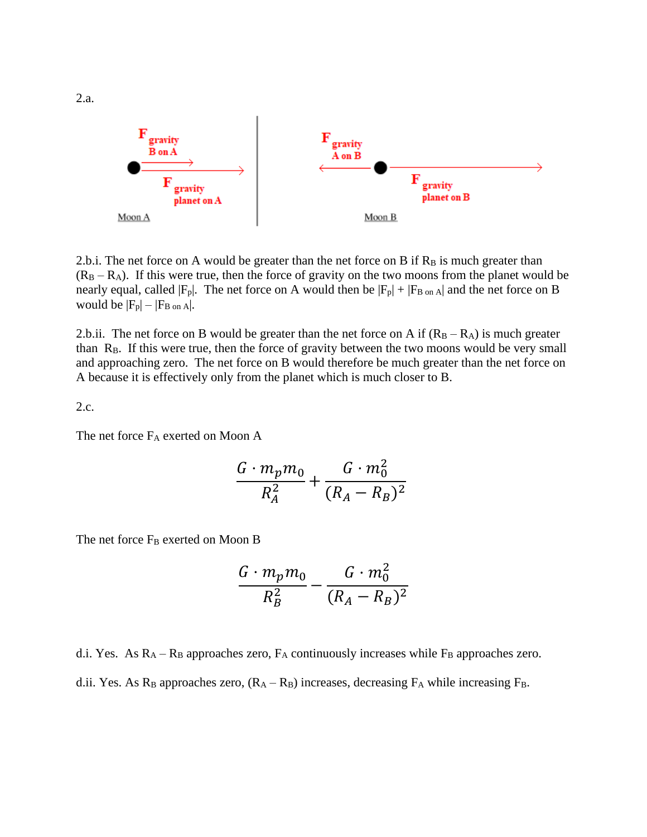

2.b.i. The net force on A would be greater than the net force on B if  $R_B$  is much greater than  $(R_B - R_A)$ . If this were true, then the force of gravity on the two moons from the planet would be nearly equal, called  $|F_p|$ . The net force on A would then be  $|F_p| + |F_B|$  on A and the net force on B would be  $|F_p| - |F_B|$  on A.

2.b.ii. The net force on B would be greater than the net force on A if  $(R_B - R_A)$  is much greater than  $R_B$ . If this were true, then the force of gravity between the two moons would be very small and approaching zero. The net force on B would therefore be much greater than the net force on A because it is effectively only from the planet which is much closer to B.

2.c.

The net force  $F_A$  exerted on Moon A

$$
\frac{G \cdot m_p m_0}{R_A^2} + \frac{G \cdot m_0^2}{(R_A - R_B)^2}
$$

The net force  $F_B$  exerted on Moon B

$$
\frac{G \cdot m_p m_0}{R_B^2} - \frac{G \cdot m_0^2}{(R_A - R_B)^2}
$$

d.i. Yes. As  $R_A - R_B$  approaches zero,  $F_A$  continuously increases while  $F_B$  approaches zero. d.ii. Yes. As  $R_B$  approaches zero,  $(R_A - R_B)$  increases, decreasing  $F_A$  while increasing  $F_B$ .

2.a.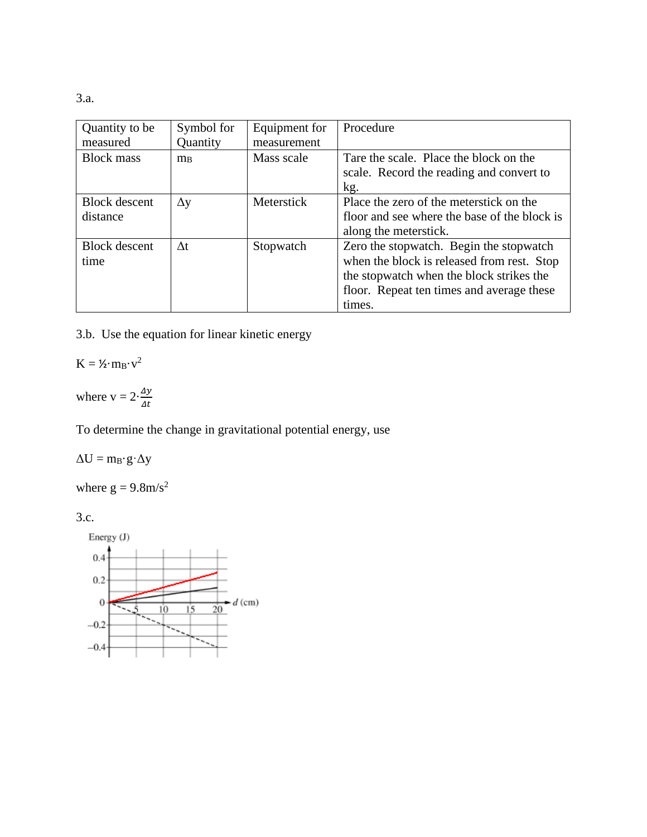3.a.

| Quantity to be<br>measured       | Symbol for<br>Quantity | Equipment for<br>measurement | Procedure                                                                                                                                                                                |
|----------------------------------|------------------------|------------------------------|------------------------------------------------------------------------------------------------------------------------------------------------------------------------------------------|
| <b>Block mass</b>                | $m_B$                  | Mass scale                   | Tare the scale. Place the block on the<br>scale. Record the reading and convert to<br>kg.                                                                                                |
| <b>Block</b> descent<br>distance | $\Delta y$             | Meterstick                   | Place the zero of the meterstick on the<br>floor and see where the base of the block is<br>along the meterstick.                                                                         |
| <b>Block</b> descent<br>time     | $\Delta t$             | Stopwatch                    | Zero the stopwatch. Begin the stopwatch<br>when the block is released from rest. Stop<br>the stopwatch when the block strikes the<br>floor. Repeat ten times and average these<br>times. |

3.b. Use the equation for linear kinetic energy

 $K = \frac{\gamma_2}{m_B \cdot v^2}$ 

where  $v = 2 \cdot \frac{\Delta y}{\Delta t}$  $\Delta t$ 

To determine the change in gravitational potential energy, use

 $\Delta U = m_B \cdot g \cdot \Delta y$ 

where  $g = 9.8 \text{m/s}^2$ 

3.c.

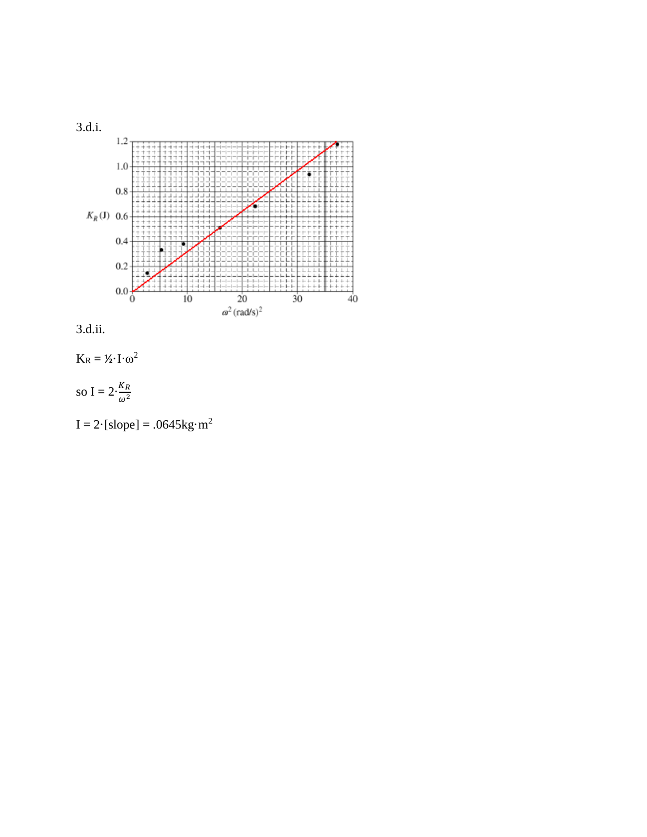



 $K_R = \mathcal{V}_2 \cdot I \cdot \omega^2$ 

so I =  $2 \cdot \frac{K_R}{\omega^2}$ 

 $I = 2$ ·[slope] = .0645kg·m<sup>2</sup>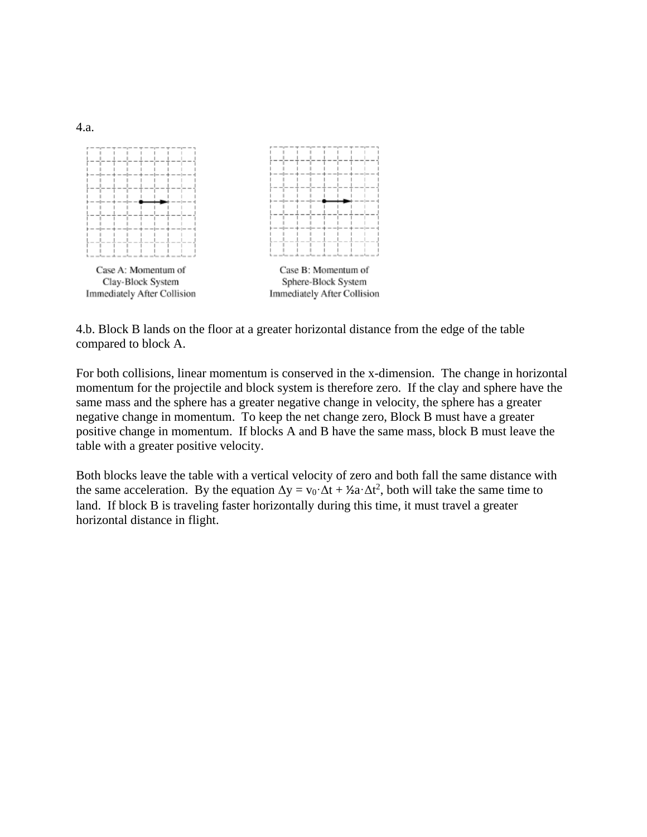

4.b. Block B lands on the floor at a greater horizontal distance from the edge of the table compared to block A.

For both collisions, linear momentum is conserved in the x-dimension. The change in horizontal momentum for the projectile and block system is therefore zero. If the clay and sphere have the same mass and the sphere has a greater negative change in velocity, the sphere has a greater negative change in momentum. To keep the net change zero, Block B must have a greater positive change in momentum. If blocks A and B have the same mass, block B must leave the table with a greater positive velocity.

Both blocks leave the table with a vertical velocity of zero and both fall the same distance with the same acceleration. By the equation  $\Delta y = v_0 \Delta t + \lambda^2 a \Delta t^2$ , both will take the same time to land. If block B is traveling faster horizontally during this time, it must travel a greater horizontal distance in flight.

4.a.